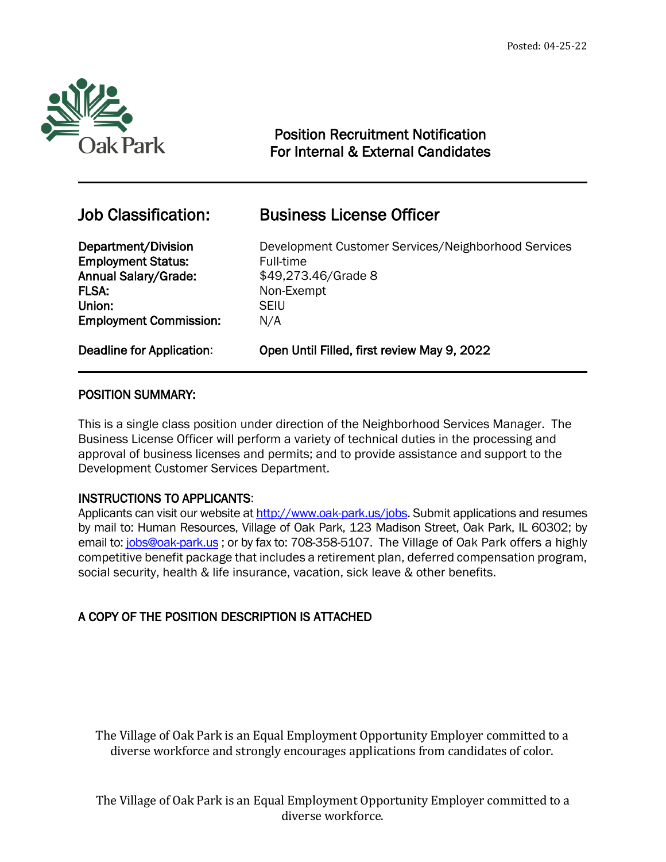

 $\overline{a}$ 

# Position Recruitment Notification For Internal & External Candidates

**Employment Status:** Full-time Annual Salary/Grade:  $$49,273.46/G$ rade 8 FLSA: Non-Exempt Union: SEIU Employment Commission: N/A

# Job Classification: Business License Officer

Department/Division Development Customer Services/Neighborhood Services

Deadline for Application: Open Until Filled, first review May 9, 2022

## POSITION SUMMARY:

This is a single class position under direction of the Neighborhood Services Manager. The Business License Officer will perform a variety of technical duties in the processing and approval of business licenses and permits; and to provide assistance and support to the Development Customer Services Department.

## INSTRUCTIONS TO APPLICANTS:

Applicants can visit our website a[t http://www.oak-park.us/j](http://www.oak-park.us/)obs. Submit applications and resumes by mail to: Human Resources, Village of Oak Park, 123 Madison Street, Oak Park, IL 60302; by email to: [jobs@oak-park.us](mailto:jobs@oak-park.us) ; or by fax to: 708-358-5107. The Village of Oak Park offers a highly competitive benefit package that includes a retirement plan, deferred compensation program, social security, health & life insurance, vacation, sick leave & other benefits.

## A COPY OF THE POSITION DESCRIPTION IS ATTACHED

The Village of Oak Park is an Equal Employment Opportunity Employer committed to a diverse workforce and strongly encourages applications from candidates of color.

The Village of Oak Park is an Equal Employment Opportunity Employer committed to a diverse workforce.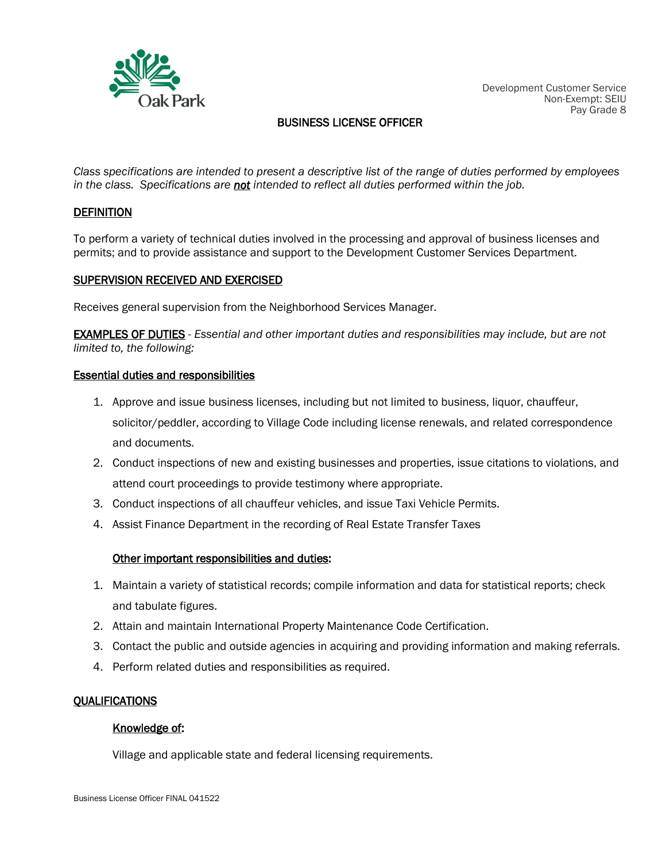

## BUSINESS LICENSE OFFICER

*Class specifications are intended to present a descriptive list of the range of duties performed by employees in the class. Specifications are not intended to reflect all duties performed within the job.*

#### **DEFINITION**

To perform a variety of technical duties involved in the processing and approval of business licenses and permits; and to provide assistance and support to the Development Customer Services Department.

#### SUPERVISION RECEIVED AND EXERCISED

Receives general supervision from the Neighborhood Services Manager.

EXAMPLES OF DUTIES - *Essential and other important duties and responsibilities may include, but are not limited to, the following:*

#### Essential duties and responsibilities

- 1. Approve and issue business licenses, including but not limited to business, liquor, chauffeur, solicitor/peddler, according to Village Code including license renewals, and related correspondence and documents.
- 2. Conduct inspections of new and existing businesses and properties, issue citations to violations, and attend court proceedings to provide testimony where appropriate.
- 3. Conduct inspections of all chauffeur vehicles, and issue Taxi Vehicle Permits.
- 4. Assist Finance Department in the recording of Real Estate Transfer Taxes

#### Other important responsibilities and duties:

- 1. Maintain a variety of statistical records; compile information and data for statistical reports; check and tabulate figures.
- 2. Attain and maintain International Property Maintenance Code Certification.
- 3. Contact the public and outside agencies in acquiring and providing information and making referrals.
- 4. Perform related duties and responsibilities as required.

#### **OUALIFICATIONS**

#### Knowledge of:

Village and applicable state and federal licensing requirements.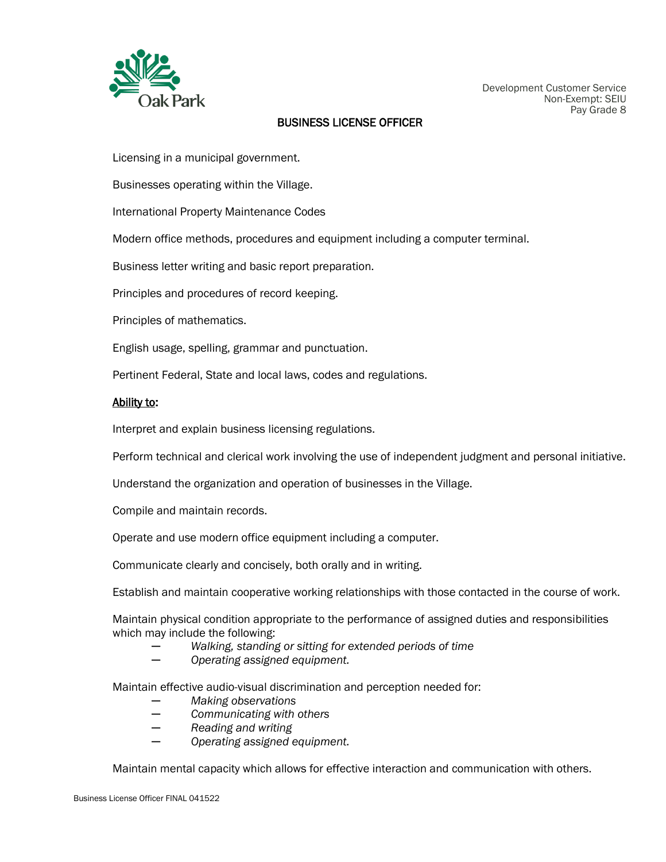

#### BUSINESS LICENSE OFFICER

Licensing in a municipal government.

Businesses operating within the Village.

International Property Maintenance Codes

Modern office methods, procedures and equipment including a computer terminal.

Business letter writing and basic report preparation.

Principles and procedures of record keeping.

Principles of mathematics.

English usage, spelling, grammar and punctuation.

Pertinent Federal, State and local laws, codes and regulations.

#### Ability to:

Interpret and explain business licensing regulations.

Perform technical and clerical work involving the use of independent judgment and personal initiative.

Understand the organization and operation of businesses in the Village.

Compile and maintain records.

Operate and use modern office equipment including a computer.

Communicate clearly and concisely, both orally and in writing.

Establish and maintain cooperative working relationships with those contacted in the course of work.

Maintain physical condition appropriate to the performance of assigned duties and responsibilities which may include the following:

- *─ Walking, standing or sitting for extended periods of time*
- *─ Operating assigned equipment.*

Maintain effective audio-visual discrimination and perception needed for:

- *─ Making observations*
- *─ Communicating with others*
- *─ Reading and writing*
- *─ Operating assigned equipment.*

Maintain mental capacity which allows for effective interaction and communication with others.